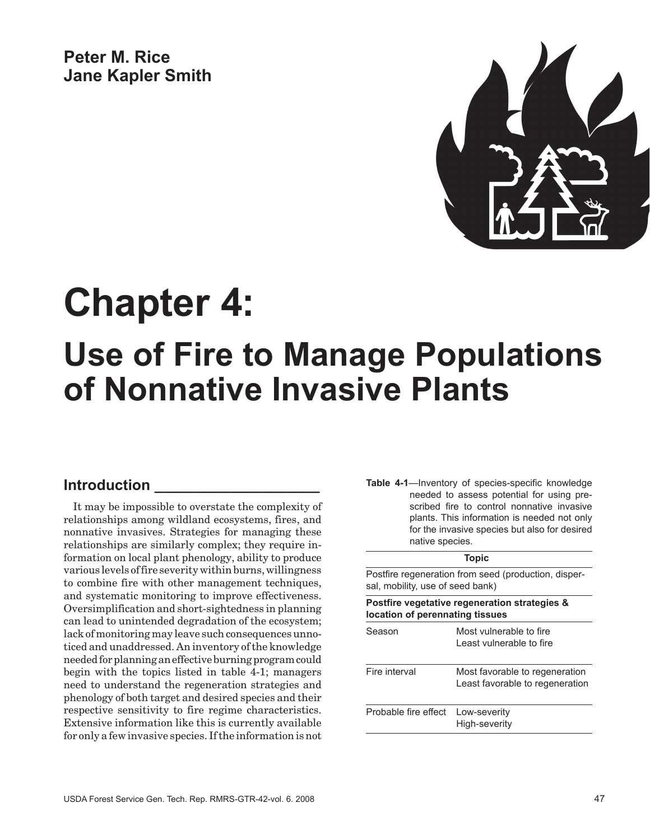**Peter M. Rice Jane Kapler Smith** 



# **Chapter 4: Use of Fire to Manage Populations of Nonnative Invasive Plants**

## **Introduction \_\_\_\_\_\_\_\_\_\_\_\_\_\_\_\_\_\_\_\_**

It may be impossible to overstate the complexity of relationships among wildland ecosystems, fires, and nonnative invasives. Strategies for managing these relationships are similarly complex; they require information on local plant phenology, ability to produce various levels of fire severity within burns, willingness to combine fire with other management techniques, and systematic monitoring to improve effectiveness. Oversimplification and short-sightedness in planning can lead to unintended degradation of the ecosystem; lack of monitoring may leave such consequences unnoticed and unaddressed. An inventory of the knowledge needed for planning an effective burning program could begin with the topics listed in table 4-1; managers need to understand the regeneration strategies and phenology of both target and desired species and their respective sensitivity to fire regime characteristics. Extensive information like this is currently available for only a few invasive species. If the information is not

| <b>Table 4-1—Inventory of species-specific knowledge</b> |
|----------------------------------------------------------|
| needed to assess potential for using pre-                |
| scribed fire to control nonnative invasive               |
| plants. This information is needed not only              |
| for the invasive species but also for desired            |
| native species.                                          |
|                                                          |

| <b>Topic</b>                                                                             |                                                                   |  |
|------------------------------------------------------------------------------------------|-------------------------------------------------------------------|--|
| Postfire regeneration from seed (production, disper-<br>sal, mobility, use of seed bank) |                                                                   |  |
| Postfire vegetative regeneration strategies &<br>location of perennating tissues         |                                                                   |  |
| Season                                                                                   | Most vulnerable to fire<br>Least vulnerable to fire               |  |
| Fire interval                                                                            | Most favorable to regeneration<br>Least favorable to regeneration |  |
| Probable fire effect                                                                     | Low-severity<br>High-severity                                     |  |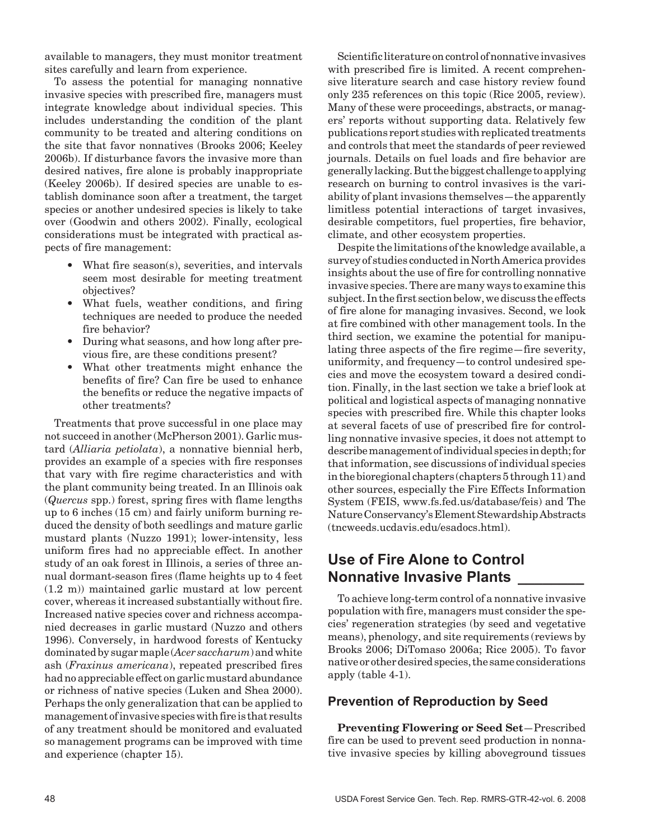available to managers, they must monitor treatment sites carefully and learn from experience.

To assess the potential for managing nonnative invasive species with prescribed fire, managers must integrate knowledge about individual species. This includes understanding the condition of the plant community to be treated and altering conditions on the site that favor nonnatives (Brooks 2006; Keeley 2006b). If disturbance favors the invasive more than desired natives, fire alone is probably inappropriate (Keeley 2006b). If desired species are unable to establish dominance soon after a treatment, the target species or another undesired species is likely to take over (Goodwin and others 2002). Finally, ecological considerations must be integrated with practical aspects of fire management:

- What fire season(s), severities, and intervals seem most desirable for meeting treatment objectives?
- What fuels, weather conditions, and firing techniques are needed to produce the needed fire behavior?
- During what seasons, and how long after previous fire, are these conditions present?
- • What other treatments might enhance the benefits of fire? Can fire be used to enhance the benefits or reduce the negative impacts of other treatments?

Treatments that prove successful in one place may not succeed in another (McPherson 2001). Garlic mustard (*Alliaria petiolata*), a nonnative biennial herb, provides an example of a species with fire responses that vary with fire regime characteristics and with the plant community being treated. In an Illinois oak (*Quercus* spp.) forest, spring fires with flame lengths up to 6 inches (15 cm) and fairly uniform burning reduced the density of both seedlings and mature garlic mustard plants (Nuzzo 1991); lower-intensity, less uniform fires had no appreciable effect. In another study of an oak forest in Illinois, a series of three annual dormant-season fires (flame heights up to 4 feet (1.2 m)) maintained garlic mustard at low percent cover, whereas it increased substantially without fire. Increased native species cover and richness accompanied decreases in garlic mustard (Nuzzo and others 1996). Conversely, in hardwood forests of Kentucky dominated by sugar maple (*Acer saccharum*) and white ash (*Fraxinus americana*), repeated prescribed fires had no appreciable effect on garlic mustard abundance or richness of native species (Luken and Shea 2000). Perhaps the only generalization that can be applied to management of invasive species with fire is that results of any treatment should be monitored and evaluated so management programs can be improved with time and experience (chapter 15).

Scientific literature on control of nonnative invasives with prescribed fire is limited. A recent comprehensive literature search and case history review found only 235 references on this topic (Rice 2005, review). Many of these were proceedings, abstracts, or managers' reports without supporting data. Relatively few publications report studies with replicated treatments and controls that meet the standards of peer reviewed journals. Details on fuel loads and fire behavior are generally lacking. But the biggest challenge to applying research on burning to control invasives is the variability of plant invasions themselves—the apparently limitless potential interactions of target invasives, desirable competitors, fuel properties, fire behavior, climate, and other ecosystem properties.

Despite the limitations of the knowledge available, a survey of studies conducted in North America provides insights about the use of fire for controlling nonnative invasive species. There are many ways to examine this subject. In the first section below, we discuss the effects of fire alone for managing invasives. Second, we look at fire combined with other management tools. In the third section, we examine the potential for manipulating three aspects of the fire regime—fire severity, uniformity, and frequency—to control undesired species and move the ecosystem toward a desired condition. Finally, in the last section we take a brief look at political and logistical aspects of managing nonnative species with prescribed fire. While this chapter looks at several facets of use of prescribed fire for controlling nonnative invasive species, it does not attempt to describe management of individual species in depth; for that information, see discussions of individual species in the bioregional chapters (chapters 5 through 11) and other sources, especially the Fire Effects Information System (FEIS, www.fs.fed.us/database/feis) and The Nature Conservancy's Element Stewardship Abstracts (tncweeds.ucdavis.edu/esadocs.html).

# **Use of Fire Alone to Control Nonnative Invasive Plants \_\_\_\_\_\_\_\_**

To achieve long-term control of a nonnative invasive population with fire, managers must consider the species' regeneration strategies (by seed and vegetative means), phenology, and site requirements (reviews by Brooks 2006; DiTomaso 2006a; Rice 2005). To favor native or other desired species, the same considerations apply (table 4-1).

### **Prevention of Reproduction by Seed**

**Preventing Flowering or Seed Set**—Prescribed fire can be used to prevent seed production in nonnative invasive species by killing aboveground tissues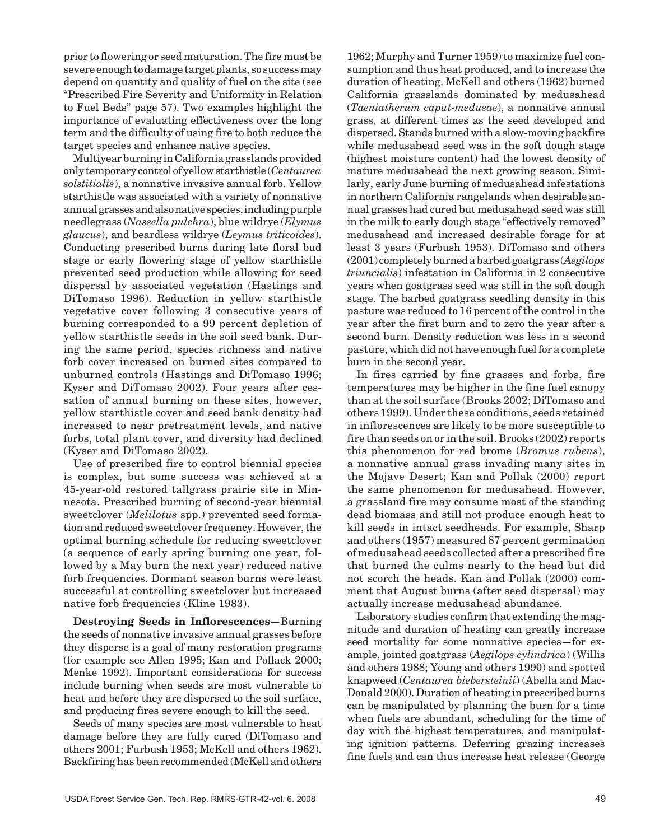prior to flowering or seed maturation. The fire must be severe enough to damage target plants, so success may depend on quantity and quality of fuel on the site (see "Prescribed Fire Severity and Uniformity in Relation to Fuel Beds" page 57). Two examples highlight the importance of evaluating effectiveness over the long term and the difficulty of using fire to both reduce the target species and enhance native species.

Multiyear burning in California grasslands provided only temporary control of yellow starthistle (*Centaurea solstitialis*), a nonnative invasive annual forb. Yellow starthistle was associated with a variety of nonnative annual grasses and also native species, including purple needlegrass (*Nassella pulchra*), blue wildrye (*Elymus glaucus*), and beardless wildrye (*Leymus triticoides*). Conducting prescribed burns during late floral bud stage or early flowering stage of yellow starthistle prevented seed production while allowing for seed dispersal by associated vegetation (Hastings and DiTomaso 1996). Reduction in yellow starthistle vegetative cover following 3 consecutive years of burning corresponded to a 99 percent depletion of yellow starthistle seeds in the soil seed bank. During the same period, species richness and native forb cover increased on burned sites compared to unburned controls (Hastings and DiTomaso 1996; Kyser and DiTomaso 2002). Four years after cessation of annual burning on these sites, however, yellow starthistle cover and seed bank density had increased to near pretreatment levels, and native forbs, total plant cover, and diversity had declined (Kyser and DiTomaso 2002).

Use of prescribed fire to control biennial species is complex, but some success was achieved at a 45-year-old restored tallgrass prairie site in Minnesota. Prescribed burning of second-year biennial sweetclover (*Melilotus* spp.) prevented seed formation and reduced sweetclover frequency. However, the optimal burning schedule for reducing sweetclover (a sequence of early spring burning one year, followed by a May burn the next year) reduced native forb frequencies. Dormant season burns were least successful at controlling sweetclover but increased native forb frequencies (Kline 1983).

**Destroying Seeds in Inflorescences**—Burning the seeds of nonnative invasive annual grasses before they disperse is a goal of many restoration programs (for example see Allen 1995; Kan and Pollack 2000; Menke 1992). Important considerations for success include burning when seeds are most vulnerable to heat and before they are dispersed to the soil surface, and producing fires severe enough to kill the seed.

Seeds of many species are most vulnerable to heat damage before they are fully cured (DiTomaso and others 2001; Furbush 1953; McKell and others 1962). Backfiring has been recommended (McKell and others 1962; Murphy and Turner 1959) to maximize fuel consumption and thus heat produced, and to increase the duration of heating. McKell and others (1962) burned California grasslands dominated by medusahead (*Taeniatherum caput-medusae*), a nonnative annual grass, at different times as the seed developed and dispersed. Stands burned with a slow-moving backfire while medusahead seed was in the soft dough stage (highest moisture content) had the lowest density of mature medusahead the next growing season. Similarly, early June burning of medusahead infestations in northern California rangelands when desirable annual grasses had cured but medusahead seed was still in the milk to early dough stage "effectively removed" medusahead and increased desirable forage for at least 3 years (Furbush 1953). DiTomaso and others (2001) completely burned a barbed goatgrass (*Aegilops triuncialis*) infestation in California in 2 consecutive years when goatgrass seed was still in the soft dough stage. The barbed goatgrass seedling density in this pasture was reduced to 16 percent of the control in the year after the first burn and to zero the year after a second burn. Density reduction was less in a second pasture, which did not have enough fuel for a complete burn in the second year.

In fires carried by fine grasses and forbs, fire temperatures may be higher in the fine fuel canopy than at the soil surface (Brooks 2002; DiTomaso and others 1999). Under these conditions, seeds retained in inflorescences are likely to be more susceptible to fire than seeds on or in the soil. Brooks (2002) reports this phenomenon for red brome (*Bromus rubens*), a nonnative annual grass invading many sites in the Mojave Desert; Kan and Pollak (2000) report the same phenomenon for medusahead. However, a grassland fire may consume most of the standing dead biomass and still not produce enough heat to kill seeds in intact seedheads. For example, Sharp and others (1957) measured 87 percent germination of medusahead seeds collected after a prescribed fire that burned the culms nearly to the head but did not scorch the heads. Kan and Pollak (2000) comment that August burns (after seed dispersal) may actually increase medusahead abundance.

Laboratory studies confirm that extending the magnitude and duration of heating can greatly increase seed mortality for some nonnative species—for example, jointed goatgrass (*Aegilops cylindrica*) (Willis and others 1988; Young and others 1990) and spotted knapweed (*Centaurea biebersteinii*) (Abella and Mac-Donald 2000). Duration of heating in prescribed burns can be manipulated by planning the burn for a time when fuels are abundant, scheduling for the time of day with the highest temperatures, and manipulating ignition patterns. Deferring grazing increases fine fuels and can thus increase heat release (George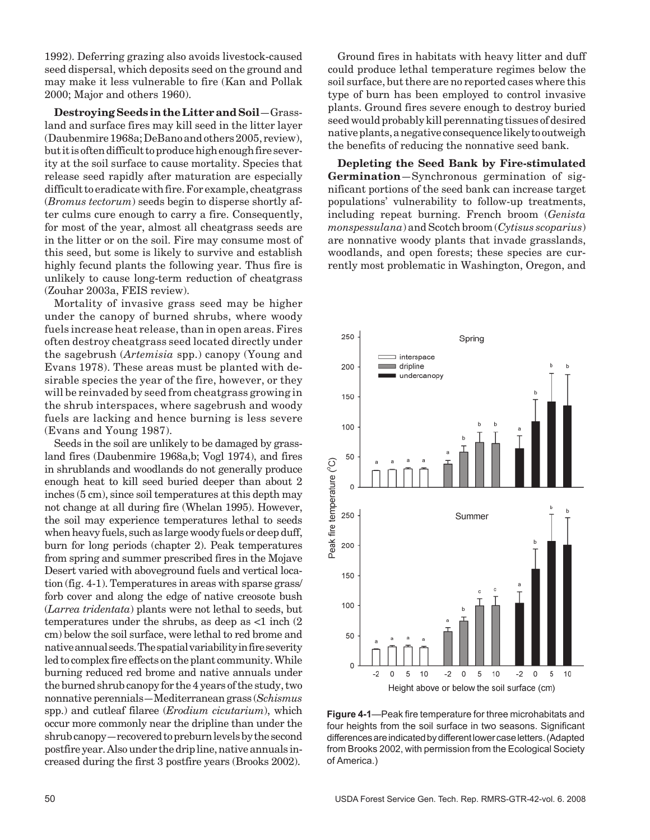1992). Deferring grazing also avoids livestock-caused seed dispersal, which deposits seed on the ground and may make it less vulnerable to fire (Kan and Pollak 2000; Major and others 1960).

**Destroying Seeds in the Litter and Soil**—Grassland and surface fires may kill seed in the litter layer (Daubenmire 1968a; DeBano and others 2005, review), but it is often difficult to produce high enough fire severity at the soil surface to cause mortality. Species that release seed rapidly after maturation are especially difficult to eradicate with fire. For example, cheatgrass (*Bromus tectorum*) seeds begin to disperse shortly after culms cure enough to carry a fire. Consequently, for most of the year, almost all cheatgrass seeds are in the litter or on the soil. Fire may consume most of this seed, but some is likely to survive and establish highly fecund plants the following year. Thus fire is unlikely to cause long-term reduction of cheatgrass (Zouhar 2003a, FEIS review).

Mortality of invasive grass seed may be higher under the canopy of burned shrubs, where woody fuels increase heat release, than in open areas. Fires often destroy cheatgrass seed located directly under the sagebrush (*Artemisia* spp.) canopy (Young and Evans 1978). These areas must be planted with desirable species the year of the fire, however, or they will be reinvaded by seed from cheatgrass growing in the shrub interspaces, where sagebrush and woody fuels are lacking and hence burning is less severe (Evans and Young 1987).

Seeds in the soil are unlikely to be damaged by grassland fires (Daubenmire 1968a,b; Vogl 1974), and fires in shrublands and woodlands do not generally produce enough heat to kill seed buried deeper than about 2 inches (5 cm), since soil temperatures at this depth may not change at all during fire (Whelan 1995). However, the soil may experience temperatures lethal to seeds when heavy fuels, such as large woody fuels or deep duff, burn for long periods (chapter 2). Peak temperatures from spring and summer prescribed fires in the Mojave Desert varied with aboveground fuels and vertical location (fig. 4-1). Temperatures in areas with sparse grass/ forb cover and along the edge of native creosote bush (*Larrea tridentata*) plants were not lethal to seeds, but temperatures under the shrubs, as deep as  $\leq 1$  inch (2) cm) below the soil surface, were lethal to red brome and native annual seeds. The spatial variability in fire severity led to complex fire effects on the plant community. While burning reduced red brome and native annuals under the burned shrub canopy for the 4 years of the study, two nonnative perennials—Mediterranean grass (*Schismus*  spp.) and cutleaf filaree (*Erodium cicutarium*), which occur more commonly near the dripline than under the shrub canopy—recovered to preburn levels by the second postfire year. Also under the drip line, native annuals increased during the first 3 postfire years (Brooks 2002).

Ground fires in habitats with heavy litter and duff could produce lethal temperature regimes below the soil surface, but there are no reported cases where this type of burn has been employed to control invasive plants. Ground fires severe enough to destroy buried seed would probably kill perennating tissues of desired native plants, a negative consequence likely to outweigh the benefits of reducing the nonnative seed bank.

**Depleting the Seed Bank by Fire-stimulated Germination**—Synchronous germination of significant portions of the seed bank can increase target populations' vulnerability to follow-up treatments, including repeat burning. French broom (*Genista monspessulana*) and Scotch broom (*Cytisus scoparius*) are nonnative woody plants that invade grasslands, woodlands, and open forests; these species are currently most problematic in Washington, Oregon, and



**Figure 4-1**—Peak fire temperature for three microhabitats and four heights from the soil surface in two seasons. Significant differences are indicated by different lower case letters. (Adapted from Brooks 2002, with permission from the Ecological Society of America.)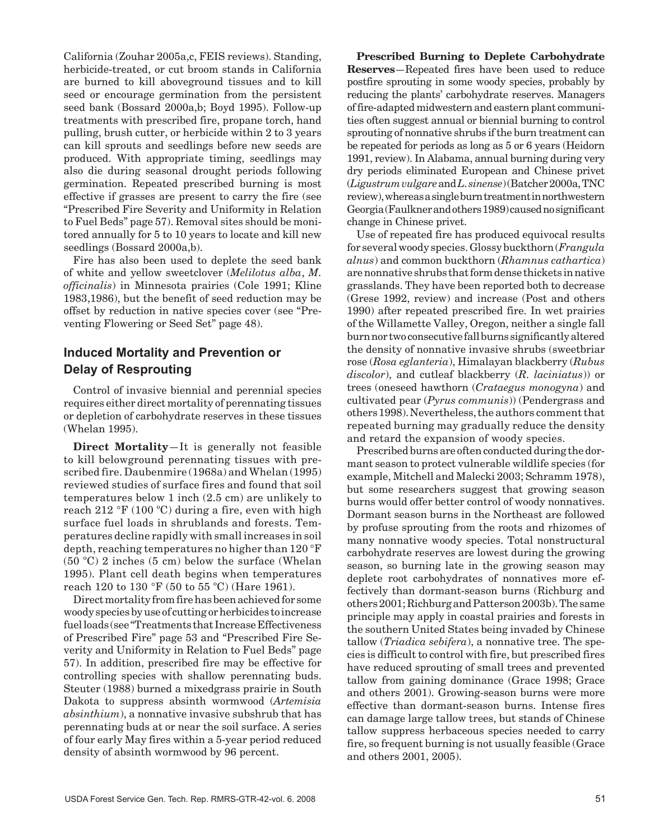California (Zouhar 2005a,c, FEIS reviews). Standing, herbicide-treated, or cut broom stands in California are burned to kill aboveground tissues and to kill seed or encourage germination from the persistent seed bank (Bossard 2000a,b; Boyd 1995). Follow-up treatments with prescribed fire, propane torch, hand pulling, brush cutter, or herbicide within 2 to 3 years can kill sprouts and seedlings before new seeds are produced. With appropriate timing, seedlings may also die during seasonal drought periods following germination. Repeated prescribed burning is most effective if grasses are present to carry the fire (see "Prescribed Fire Severity and Uniformity in Relation to Fuel Beds" page 57). Removal sites should be monitored annually for 5 to 10 years to locate and kill new seedlings (Bossard 2000a,b).

Fire has also been used to deplete the seed bank of white and yellow sweetclover (*Melilotus alba*, *M. officinalis*) in Minnesota prairies (Cole 1991; Kline 1983,1986), but the benefit of seed reduction may be offset by reduction in native species cover (see "Preventing Flowering or Seed Set" page 48).

## **Induced Mortality and Prevention or Delay of Resprouting**

Control of invasive biennial and perennial species requires either direct mortality of perennating tissues or depletion of carbohydrate reserves in these tissues (Whelan 1995).

**Direct Mortality**—It is generally not feasible to kill belowground perennating tissues with prescribed fire. Daubenmire (1968a) and Whelan (1995) reviewed studies of surface fires and found that soil temperatures below 1 inch (2.5 cm) are unlikely to reach 212 °F (100 ºC) during a fire, even with high surface fuel loads in shrublands and forests. Temperatures decline rapidly with small increases in soil depth, reaching temperatures no higher than 120 °F (50 ºC) 2 inches (5 cm) below the surface (Whelan 1995). Plant cell death begins when temperatures reach 120 to 130 °F (50 to 55 ºC) (Hare 1961).

Direct mortality from fire has been achieved for some woody species by use of cutting or herbicides to increase fuel loads (see "Treatments that Increase Effectiveness of Prescribed Fire" page 53 and "Prescribed Fire Severity and Uniformity in Relation to Fuel Beds" page 57). In addition, prescribed fire may be effective for controlling species with shallow perennating buds. Steuter (1988) burned a mixedgrass prairie in South Dakota to suppress absinth wormwood (*Artemisia absinthium*), a nonnative invasive subshrub that has perennating buds at or near the soil surface. A series of four early May fires within a 5-year period reduced density of absinth wormwood by 96 percent.

**Prescribed Burning to Deplete Carbohydrate Reserves**—Repeated fires have been used to reduce postfire sprouting in some woody species, probably by reducing the plants' carbohydrate reserves. Managers of fire-adapted midwestern and eastern plant communities often suggest annual or biennial burning to control sprouting of nonnative shrubs if the burn treatment can be repeated for periods as long as 5 or 6 years (Heidorn 1991, review). In Alabama, annual burning during very dry periods eliminated European and Chinese privet (*Ligustrumvulgare*and *L. sinense*) (Batcher 2000a, TNC review), whereas a single burn treatment in northwestern Georgia (Faulkner and others 1989) caused no significant change in Chinese privet.

Use of repeated fire has produced equivocal results for several woody species. Glossy buckthorn (*Frangula alnus*) and common buckthorn (*Rhamnus cathartica*) are nonnative shrubs that form dense thickets in native grasslands. They have been reported both to decrease (Grese 1992, review) and increase (Post and others 1990) after repeated prescribed fire. In wet prairies of the Willamette Valley, Oregon, neither a single fall burn nor two consecutive fall burns significantly altered the density of nonnative invasive shrubs (sweetbriar rose (*Rosa eglanteria*), Himalayan blackberry (*Rubus discolor*), and cutleaf blackberry (*R. laciniatus*)) or trees (oneseed hawthorn (*Crataegus monogyna*) and cultivated pear (*Pyrus communis*)) (Pendergrass and others 1998). Nevertheless, the authors comment that repeated burning may gradually reduce the density and retard the expansion of woody species.

Prescribed burns are often conducted during the dormant season to protect vulnerable wildlife species (for example, Mitchell and Malecki 2003; Schramm 1978), but some researchers suggest that growing season burns would offer better control of woody nonnatives. Dormant season burns in the Northeast are followed by profuse sprouting from the roots and rhizomes of many nonnative woody species. Total nonstructural carbohydrate reserves are lowest during the growing season, so burning late in the growing season may deplete root carbohydrates of nonnatives more effectively than dormant-season burns (Richburg and others 2001; Richburg and Patterson 2003b). The same principle may apply in coastal prairies and forests in the southern United States being invaded by Chinese tallow (*Triadica sebifera*), a nonnative tree. The species is difficult to control with fire, but prescribed fires have reduced sprouting of small trees and prevented tallow from gaining dominance (Grace 1998; Grace and others 2001). Growing-season burns were more effective than dormant-season burns. Intense fires can damage large tallow trees, but stands of Chinese tallow suppress herbaceous species needed to carry fire, so frequent burning is not usually feasible (Grace and others 2001, 2005).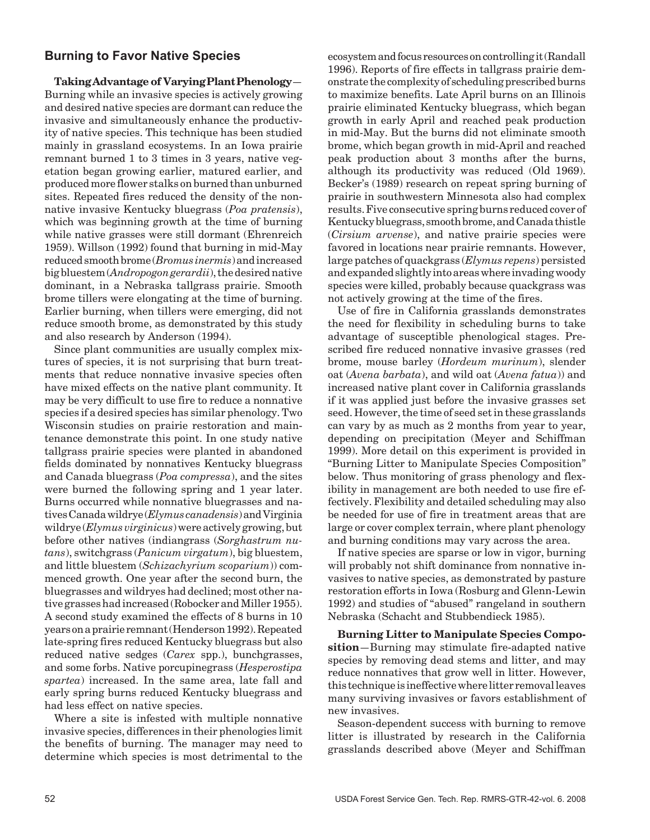#### **Burning to Favor Native Species**

**Taking Advantage of Varying Plant Phenology**— Burning while an invasive species is actively growing and desired native species are dormant can reduce the invasive and simultaneously enhance the productivity of native species. This technique has been studied mainly in grassland ecosystems. In an Iowa prairie remnant burned 1 to 3 times in 3 years, native vegetation began growing earlier, matured earlier, and produced more flower stalks on burned than unburned sites. Repeated fires reduced the density of the nonnative invasive Kentucky bluegrass (*Poa pratensis*), which was beginning growth at the time of burning while native grasses were still dormant (Ehrenreich 1959). Willson (1992) found that burning in mid-May reduced smooth brome (*Bromus inermis*) and increased big bluestem (*Andropogon gerardii*), the desired native dominant, in a Nebraska tallgrass prairie. Smooth brome tillers were elongating at the time of burning. Earlier burning, when tillers were emerging, did not reduce smooth brome, as demonstrated by this study and also research by Anderson (1994).

Since plant communities are usually complex mixtures of species, it is not surprising that burn treatments that reduce nonnative invasive species often have mixed effects on the native plant community. It may be very difficult to use fire to reduce a nonnative species if a desired species has similar phenology. Two Wisconsin studies on prairie restoration and maintenance demonstrate this point. In one study native tallgrass prairie species were planted in abandoned fields dominated by nonnatives Kentucky bluegrass and Canada bluegrass (*Poa compressa*), and the sites were burned the following spring and 1 year later. Burns occurred while nonnative bluegrasses and natives Canada wildrye (*Elymus canadensis*) and Virginia wildrye (*Elymus virginicus*) were actively growing, but before other natives (indiangrass (*Sorghastrum nutans*), switchgrass (*Panicum virgatum*), big bluestem, and little bluestem (*Schizachyrium scoparium*)) commenced growth. One year after the second burn, the bluegrasses and wildryes had declined; most other native grasses had increased (Robocker and Miller 1955). A second study examined the effects of 8 burns in 10 years on a prairie remnant (Henderson 1992). Repeated late-spring fires reduced Kentucky bluegrass but also reduced native sedges (*Carex* spp.), bunchgrasses, and some forbs. Native porcupinegrass (*Hesperostipa spartea*) increased. In the same area, late fall and early spring burns reduced Kentucky bluegrass and had less effect on native species.

Where a site is infested with multiple nonnative invasive species, differences in their phenologies limit the benefits of burning. The manager may need to determine which species is most detrimental to the

ecosystem and focus resources on controlling it (Randall 1996). Reports of fire effects in tallgrass prairie demonstrate the complexity of scheduling prescribed burns to maximize benefits. Late April burns on an Illinois prairie eliminated Kentucky bluegrass, which began growth in early April and reached peak production in mid-May. But the burns did not eliminate smooth brome, which began growth in mid-April and reached peak production about 3 months after the burns, although its productivity was reduced (Old 1969). Becker's (1989) research on repeat spring burning of prairie in southwestern Minnesota also had complex results. Five consecutive spring burns reduced cover of Kentucky bluegrass, smooth brome, and Canada thistle (*Cirsium arvense*), and native prairie species were favored in locations near prairie remnants. However, large patches of quackgrass (*Elymus repens*) persisted and expanded slightly into areas where invading woody species were killed, probably because quackgrass was not actively growing at the time of the fires.

Use of fire in California grasslands demonstrates the need for flexibility in scheduling burns to take advantage of susceptible phenological stages. Prescribed fire reduced nonnative invasive grasses (red brome, mouse barley (*Hordeum murinum*), slender oat (*Avena barbata*), and wild oat (*Avena fatua*)) and increased native plant cover in California grasslands if it was applied just before the invasive grasses set seed. However, the time of seed set in these grasslands can vary by as much as 2 months from year to year, depending on precipitation (Meyer and Schiffman 1999). More detail on this experiment is provided in "Burning Litter to Manipulate Species Composition" below. Thus monitoring of grass phenology and flexibility in management are both needed to use fire effectively. Flexibility and detailed scheduling may also be needed for use of fire in treatment areas that are large or cover complex terrain, where plant phenology and burning conditions may vary across the area.

If native species are sparse or low in vigor, burning will probably not shift dominance from nonnative invasives to native species, as demonstrated by pasture restoration efforts in Iowa (Rosburg and Glenn-Lewin 1992) and studies of "abused" rangeland in southern Nebraska (Schacht and Stubbendieck 1985).

**Burning Litter to Manipulate Species Composition**—Burning may stimulate fire-adapted native species by removing dead stems and litter, and may reduce nonnatives that grow well in litter. However, this technique is ineffective where litter removal leaves many surviving invasives or favors establishment of new invasives.

Season-dependent success with burning to remove litter is illustrated by research in the California grasslands described above (Meyer and Schiffman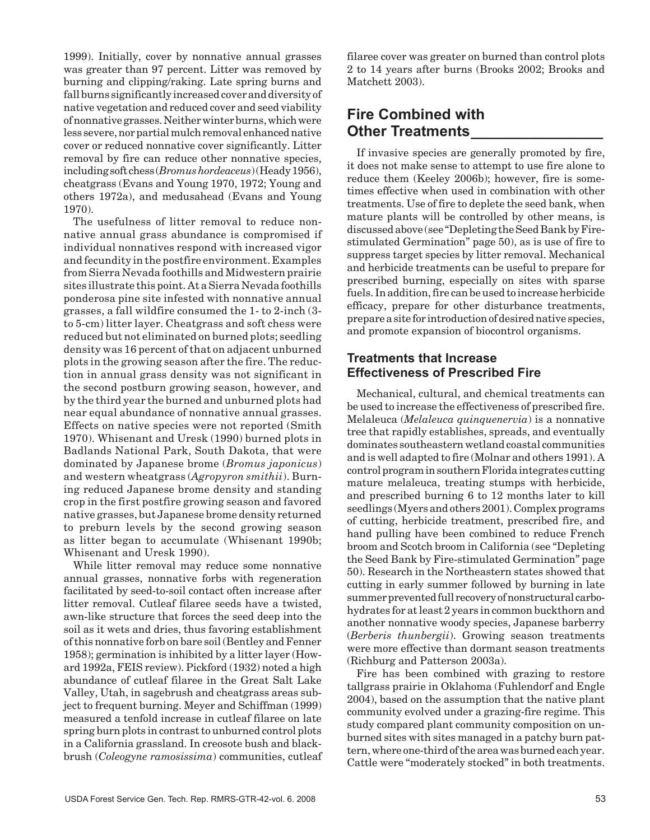1999). Initially, cover by nonnative annual grasses was greater than 97 percent. Litter was removed by burning and clipping/raking. Late spring burns and fall burns significantly increased cover and diversity of native vegetation and reduced cover and seed viability of nonnative grasses. Neither winter burns, which were less severe, nor partial mulch removal enhanced native cover or reduced nonnative cover significantly. Litter removal by fire can reduce other nonnative species, including soft chess (*Bromus hordeaceus*) (Heady 1956), cheatgrass (Evans and Young 1970, 1972; Young and others 1972a), and medusahead (Evans and Young 1970).

The usefulness of litter removal to reduce nonnative annual grass abundance is compromised if individual nonnatives respond with increased vigor and fecundity in the postfire environment. Examples from Sierra Nevada foothills and Midwestern prairie sites illustrate this point. At a Sierra Nevada foothills ponderosa pine site infested with nonnative annual grasses, a fall wildfire consumed the 1- to 2-inch (3 to 5-cm) litter layer. Cheatgrass and soft chess were reduced but not eliminated on burned plots; seedling density was 16 percent of that on adjacent unburned plots in the growing season after the fire. The reduction in annual grass density was not significant in the second postburn growing season, however, and by the third year the burned and unburned plots had near equal abundance of nonnative annual grasses. Effects on native species were not reported (Smith 1970). Whisenant and Uresk (1990) burned plots in Badlands National Park, South Dakota, that were dominated by Japanese brome (*Bromus japonicus*) and western wheatgrass (*Agropyron smithii*). Burning reduced Japanese brome density and standing crop in the first postfire growing season and favored native grasses, but Japanese brome density returned to preburn levels by the second growing season as litter began to accumulate (Whisenant 1990b; Whisenant and Uresk 1990).

While litter removal may reduce some nonnative annual grasses, nonnative forbs with regeneration facilitated by seed-to-soil contact often increase after litter removal. Cutleaf filaree seeds have a twisted, awn-like structure that forces the seed deep into the soil as it wets and dries, thus favoring establishment of this nonnative forb on bare soil (Bentley and Fenner 1958); germination is inhibited by a litter layer (Howard 1992a, FEIS review). Pickford (1932) noted a high abundance of cutleaf filaree in the Great Salt Lake Valley, Utah, in sagebrush and cheatgrass areas subject to frequent burning. Meyer and Schiffman (1999) measured a tenfold increase in cutleaf filaree on late spring burn plots in contrast to unburned control plots in a California grassland. In creosote bush and blackbrush (*Coleogyne ramosissima*) communities, cutleaf filaree cover was greater on burned than control plots 2 to 14 years after burns (Brooks 2002; Brooks and Matchett 2003).

# **Fire Combined with Other Treatments\_\_\_\_\_\_\_\_\_\_\_\_\_\_\_\_**

If invasive species are generally promoted by fire, it does not make sense to attempt to use fire alone to reduce them (Keeley 2006b); however, fire is sometimes effective when used in combination with other treatments. Use of fire to deplete the seed bank, when mature plants will be controlled by other means, is discussed above (see "Depleting the Seed Bank by Firestimulated Germination" page 50), as is use of fire to suppress target species by litter removal. Mechanical and herbicide treatments can be useful to prepare for prescribed burning, especially on sites with sparse fuels. In addition, fire can be used to increase herbicide efficacy, prepare for other disturbance treatments, prepare a site for introduction of desired native species, and promote expansion of biocontrol organisms.

#### **Treatments that Increase Effectiveness of Prescribed Fire**

Mechanical, cultural, and chemical treatments can be used to increase the effectiveness of prescribed fire. Melaleuca (*Melaleuca quinquenervia*) is a nonnative tree that rapidly establishes, spreads, and eventually dominates southeastern wetland coastal communities and is well adapted to fire (Molnar and others 1991). A control program in southern Florida integrates cutting mature melaleuca, treating stumps with herbicide, and prescribed burning 6 to 12 months later to kill seedlings (Myers and others 2001). Complex programs of cutting, herbicide treatment, prescribed fire, and hand pulling have been combined to reduce French broom and Scotch broom in California (see "Depleting the Seed Bank by Fire-stimulated Germination" page 50). Research in the Northeastern states showed that cutting in early summer followed by burning in late summer prevented full recovery of nonstructural carbohydrates for at least 2 years in common buckthorn and another nonnative woody species, Japanese barberry (*Berberis thunbergii*). Growing season treatments were more effective than dormant season treatments (Richburg and Patterson 2003a).

Fire has been combined with grazing to restore tallgrass prairie in Oklahoma (Fuhlendorf and Engle 2004), based on the assumption that the native plant community evolved under a grazing-fire regime. This study compared plant community composition on unburned sites with sites managed in a patchy burn pattern, where one-third of the area was burned each year. Cattle were "moderately stocked" in both treatments.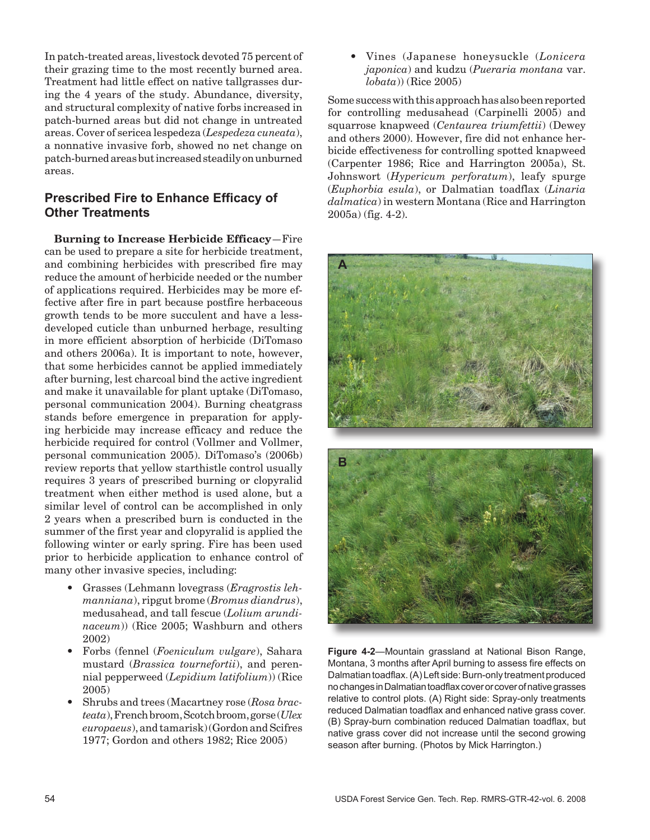In patch-treated areas, livestock devoted 75 percent of their grazing time to the most recently burned area. Treatment had little effect on native tallgrasses during the 4 years of the study. Abundance, diversity, and structural complexity of native forbs increased in patch-burned areas but did not change in untreated areas. Cover of sericea lespedeza (*Lespedeza cuneata*), a nonnative invasive forb, showed no net change on patch-burned areas but increased steadily on unburned areas.

## **Prescribed Fire to Enhance Efficacy of Other Treatments**

**Burning to Increase Herbicide Efficacy**—Fire can be used to prepare a site for herbicide treatment, and combining herbicides with prescribed fire may reduce the amount of herbicide needed or the number of applications required. Herbicides may be more effective after fire in part because postfire herbaceous growth tends to be more succulent and have a lessdeveloped cuticle than unburned herbage, resulting in more efficient absorption of herbicide (DiTomaso and others 2006a). It is important to note, however, that some herbicides cannot be applied immediately after burning, lest charcoal bind the active ingredient and make it unavailable for plant uptake (DiTomaso, personal communication 2004). Burning cheatgrass stands before emergence in preparation for applying herbicide may increase efficacy and reduce the herbicide required for control (Vollmer and Vollmer, personal communication 2005). DiTomaso's (2006b) review reports that yellow starthistle control usually requires 3 years of prescribed burning or clopyralid treatment when either method is used alone, but a similar level of control can be accomplished in only 2 years when a prescribed burn is conducted in the summer of the first year and clopyralid is applied the following winter or early spring. Fire has been used prior to herbicide application to enhance control of many other invasive species, including:

- • Grasses (Lehmann lovegrass (*Eragrostis lehmanniana*), ripgut brome (*Bromus diandrus*), medusahead, and tall fescue (*Lolium arundinaceum*)) (Rice 2005; Washburn and others 2002)
- • Forbs (fennel (*Foeniculum vulgare*), Sahara mustard (*Brassica tournefortii*), and perennial pepperweed (*Lepidium latifolium*)) (Rice 2005)
- Shrubs and trees (Macartney rose (*Rosa bracteata*), French broom, Scotch broom, gorse (*Ulex europaeus*), and tamarisk) (Gordon and Scifres 1977; Gordon and others 1982; Rice 2005)

 • Vines (Japanese honeysuckle (*Lonicera japonica*) and kudzu (*Pueraria montana* var. *lobata*)) (Rice 2005)

Some success with this approach has also been reported for controlling medusahead (Carpinelli 2005) and squarrose knapweed (*Centaurea triumfettii*) (Dewey and others 2000). However, fire did not enhance herbicide effectiveness for controlling spotted knapweed (Carpenter 1986; Rice and Harrington 2005a), St. Johnswort (*Hypericum perforatum*), leafy spurge (*Euphorbia esula*), or Dalmatian toadflax (*Linaria dalmatica*) in western Montana (Rice and Harrington 2005a) (fig. 4-2).



**Figure 4-2**—Mountain grassland at National Bison Range, Montana, 3 months after April burning to assess fire effects on Dalmatian toadflax. (A) Left side: Burn-only treatment produced no changes in Dalmatian toadflax cover or cover of native grasses relative to control plots. (A) Right side: Spray-only treatments reduced Dalmatian toadflax and enhanced native grass cover. (B) Spray-burn combination reduced Dalmatian toadflax, but native grass cover did not increase until the second growing season after burning. (Photos by Mick Harrington.)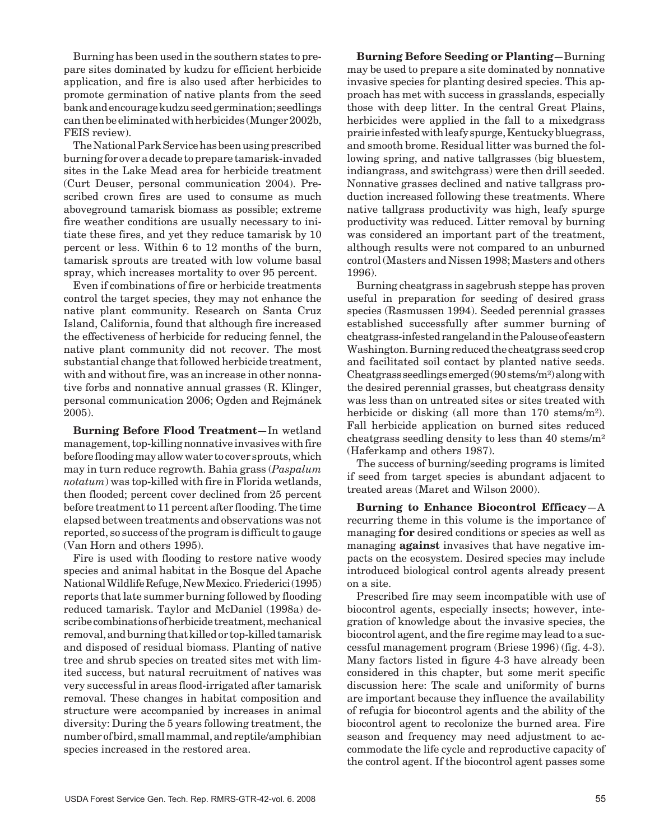Burning has been used in the southern states to prepare sites dominated by kudzu for efficient herbicide application, and fire is also used after herbicides to promote germination of native plants from the seed bank and encourage kudzu seed germination; seedlings can then be eliminated with herbicides (Munger 2002b, FEIS review).

The National Park Service has been using prescribed burning for over a decade to prepare tamarisk-invaded sites in the Lake Mead area for herbicide treatment (Curt Deuser, personal communication 2004). Prescribed crown fires are used to consume as much aboveground tamarisk biomass as possible; extreme fire weather conditions are usually necessary to initiate these fires, and yet they reduce tamarisk by 10 percent or less. Within 6 to 12 months of the burn, tamarisk sprouts are treated with low volume basal spray, which increases mortality to over 95 percent.

Even if combinations of fire or herbicide treatments control the target species, they may not enhance the native plant community. Research on Santa Cruz Island, California, found that although fire increased the effectiveness of herbicide for reducing fennel, the native plant community did not recover. The most substantial change that followed herbicide treatment, with and without fire, was an increase in other nonnative forbs and nonnative annual grasses (R. Klinger, personal communication 2006; Ogden and Rejmánek 2005).

**Burning Before Flood Treatment**—In wetland management, top-killing nonnative invasives with fire before flooding may allow water to cover sprouts, which may in turn reduce regrowth. Bahia grass (*Paspalum notatum*) was top-killed with fire in Florida wetlands, then flooded; percent cover declined from 25 percent before treatment to 11 percent after flooding. The time elapsed between treatments and observations was not reported, so success of the program is difficult to gauge (Van Horn and others 1995).

Fire is used with flooding to restore native woody species and animal habitat in the Bosque del Apache National Wildlife Refuge, New Mexico. Friederici (1995) reports that late summer burning followed by flooding reduced tamarisk. Taylor and McDaniel (1998a) describe combinations of herbicide treatment, mechanical removal, and burning that killed or top-killed tamarisk and disposed of residual biomass. Planting of native tree and shrub species on treated sites met with limited success, but natural recruitment of natives was very successful in areas flood-irrigated after tamarisk removal. These changes in habitat composition and structure were accompanied by increases in animal diversity: During the 5 years following treatment, the number of bird, small mammal, and reptile/amphibian species increased in the restored area.

**Burning Before Seeding or Planting**—Burning may be used to prepare a site dominated by nonnative invasive species for planting desired species. This approach has met with success in grasslands, especially those with deep litter. In the central Great Plains, herbicides were applied in the fall to a mixedgrass prairie infested with leafy spurge, Kentucky bluegrass, and smooth brome. Residual litter was burned the following spring, and native tallgrasses (big bluestem, indiangrass, and switchgrass) were then drill seeded. Nonnative grasses declined and native tallgrass production increased following these treatments. Where native tallgrass productivity was high, leafy spurge productivity was reduced. Litter removal by burning was considered an important part of the treatment, although results were not compared to an unburned control (Masters and Nissen 1998; Masters and others 1996).

Burning cheatgrass in sagebrush steppe has proven useful in preparation for seeding of desired grass species (Rasmussen 1994). Seeded perennial grasses established successfully after summer burning of cheatgrass-infested rangeland in the Palouse of eastern Washington. Burning reduced the cheatgrass seed crop and facilitated soil contact by planted native seeds. Cheatgrass seedlings emerged (90 stems/m²) along with the desired perennial grasses, but cheatgrass density was less than on untreated sites or sites treated with herbicide or disking (all more than 170 stems/m<sup>2</sup>). Fall herbicide application on burned sites reduced cheatgrass seedling density to less than 40 stems/m² (Haferkamp and others 1987).

The success of burning/seeding programs is limited if seed from target species is abundant adjacent to treated areas (Maret and Wilson 2000).

**Burning to Enhance Biocontrol Efficacy**—A recurring theme in this volume is the importance of managing **for** desired conditions or species as well as managing **against** invasives that have negative impacts on the ecosystem. Desired species may include introduced biological control agents already present on a site.

Prescribed fire may seem incompatible with use of biocontrol agents, especially insects; however, integration of knowledge about the invasive species, the biocontrol agent, and the fire regime may lead to a successful management program (Briese 1996) (fig. 4-3). Many factors listed in figure 4-3 have already been considered in this chapter, but some merit specific discussion here: The scale and uniformity of burns are important because they influence the availability of refugia for biocontrol agents and the ability of the biocontrol agent to recolonize the burned area. Fire season and frequency may need adjustment to accommodate the life cycle and reproductive capacity of the control agent. If the biocontrol agent passes some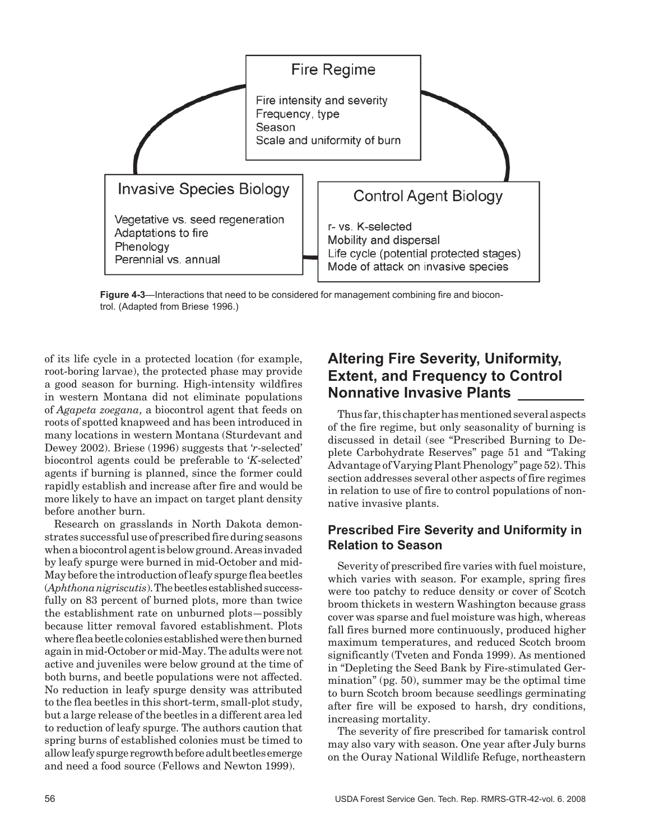

**Figure 4-3**—Interactions that need to be considered for management combining fire and biocontrol. (Adapted from Briese 1996.)

of its life cycle in a protected location (for example, root-boring larvae), the protected phase may provide a good season for burning. High-intensity wildfires in western Montana did not eliminate populations of *Agapeta zoegana,* a biocontrol agent that feeds on roots of spotted knapweed and has been introduced in many locations in western Montana (Sturdevant and Dewey 2002). Briese (1996) suggests that '*r*-selected' biocontrol agents could be preferable to '*K*-selected' agents if burning is planned, since the former could rapidly establish and increase after fire and would be more likely to have an impact on target plant density before another burn.

Research on grasslands in North Dakota demonstrates successful use of prescribed fire during seasons when a biocontrol agent is below ground. Areas invaded by leafy spurge were burned in mid-October and mid-May before the introduction of leafy spurge flea beetles (*Aphthona nigriscutis*). The beetles established successfully on 83 percent of burned plots, more than twice the establishment rate on unburned plots—possibly because litter removal favored establishment. Plots where flea beetle colonies established were then burned again in mid-October or mid-May. The adults were not active and juveniles were below ground at the time of both burns, and beetle populations were not affected. No reduction in leafy spurge density was attributed to the flea beetles in this short-term, small-plot study, but a large release of the beetles in a different area led to reduction of leafy spurge. The authors caution that spring burns of established colonies must be timed to allow leafy spurge regrowth before adult beetles emerge and need a food source (Fellows and Newton 1999).

# **Altering Fire Severity, Uniformity, Extent, and Frequency to Control Nonnative Invasive Plants \_\_\_\_\_\_\_\_**

Thus far, this chapter has mentioned several aspects of the fire regime, but only seasonality of burning is discussed in detail (see "Prescribed Burning to Deplete Carbohydrate Reserves" page 51 and "Taking Advantage of Varying Plant Phenology" page 52). This section addresses several other aspects of fire regimes in relation to use of fire to control populations of nonnative invasive plants.

## **Prescribed Fire Severity and Uniformity in Relation to Season**

Severity of prescribed fire varies with fuel moisture, which varies with season. For example, spring fires were too patchy to reduce density or cover of Scotch broom thickets in western Washington because grass cover was sparse and fuel moisture was high, whereas fall fires burned more continuously, produced higher maximum temperatures, and reduced Scotch broom significantly (Tveten and Fonda 1999). As mentioned in "Depleting the Seed Bank by Fire-stimulated Germination" (pg. 50), summer may be the optimal time to burn Scotch broom because seedlings germinating after fire will be exposed to harsh, dry conditions, increasing mortality.

The severity of fire prescribed for tamarisk control may also vary with season. One year after July burns on the Ouray National Wildlife Refuge, northeastern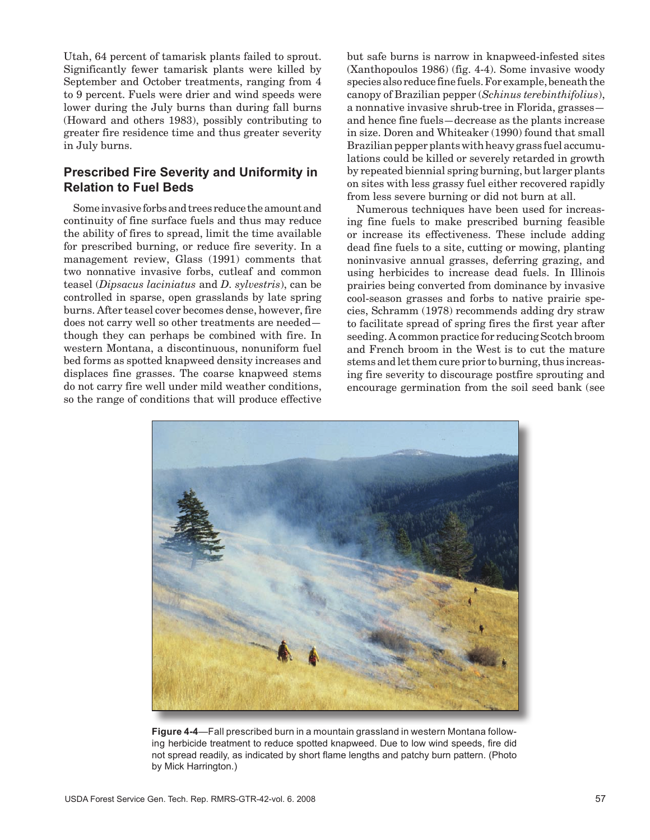Utah, 64 percent of tamarisk plants failed to sprout. Significantly fewer tamarisk plants were killed by September and October treatments, ranging from 4 to 9 percent. Fuels were drier and wind speeds were lower during the July burns than during fall burns (Howard and others 1983), possibly contributing to greater fire residence time and thus greater severity in July burns.

#### **Prescribed Fire Severity and Uniformity in Relation to Fuel Beds**

Some invasive forbs and trees reduce the amount and continuity of fine surface fuels and thus may reduce the ability of fires to spread, limit the time available for prescribed burning, or reduce fire severity. In a management review, Glass (1991) comments that two nonnative invasive forbs, cutleaf and common teasel (*Dipsacus laciniatus* and *D. sylvestris*), can be controlled in sparse, open grasslands by late spring burns. After teasel cover becomes dense, however, fire does not carry well so other treatments are needed though they can perhaps be combined with fire. In western Montana, a discontinuous, nonuniform fuel bed forms as spotted knapweed density increases and displaces fine grasses. The coarse knapweed stems do not carry fire well under mild weather conditions, so the range of conditions that will produce effective but safe burns is narrow in knapweed-infested sites (Xanthopoulos 1986) (fig. 4-4). Some invasive woody species also reduce fine fuels. For example, beneath the canopy of Brazilian pepper (*Schinus terebinthifolius*), a nonnative invasive shrub-tree in Florida, grasses and hence fine fuels—decrease as the plants increase in size. Doren and Whiteaker (1990) found that small Brazilian pepper plants with heavy grass fuel accumulations could be killed or severely retarded in growth by repeated biennial spring burning, but larger plants on sites with less grassy fuel either recovered rapidly from less severe burning or did not burn at all.

Numerous techniques have been used for increasing fine fuels to make prescribed burning feasible or increase its effectiveness. These include adding dead fine fuels to a site, cutting or mowing, planting noninvasive annual grasses, deferring grazing, and using herbicides to increase dead fuels. In Illinois prairies being converted from dominance by invasive cool-season grasses and forbs to native prairie species, Schramm (1978) recommends adding dry straw to facilitate spread of spring fires the first year after seeding. A common practice for reducing Scotch broom and French broom in the West is to cut the mature stems and let them cure prior to burning, thus increasing fire severity to discourage postfire sprouting and encourage germination from the soil seed bank (see



**Figure 4-4**—Fall prescribed burn in a mountain grassland in western Montana following herbicide treatment to reduce spotted knapweed. Due to low wind speeds, fire did not spread readily, as indicated by short flame lengths and patchy burn pattern. (Photo by Mick Harrington.)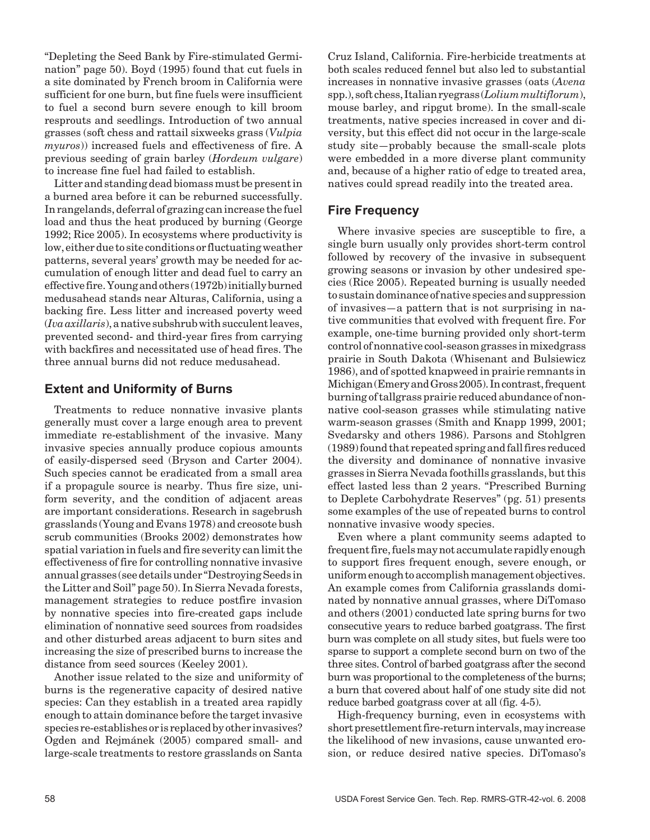"Depleting the Seed Bank by Fire-stimulated Germination" page 50). Boyd (1995) found that cut fuels in a site dominated by French broom in California were sufficient for one burn, but fine fuels were insufficient to fuel a second burn severe enough to kill broom resprouts and seedlings. Introduction of two annual grasses (soft chess and rattail sixweeks grass (*Vulpia myuros*)) increased fuels and effectiveness of fire. A previous seeding of grain barley (*Hordeum vulgare*) to increase fine fuel had failed to establish.

Litter and standing dead biomass must be present in a burned area before it can be reburned successfully. In rangelands, deferral of grazing can increase the fuel load and thus the heat produced by burning (George 1992; Rice 2005). In ecosystems where productivity is low, either due to site conditions or fluctuating weather patterns, several years' growth may be needed for accumulation of enough litter and dead fuel to carry an effective fire. Young and others (1972b) initially burned medusahead stands near Alturas, California, using a backing fire. Less litter and increased poverty weed (*Ivaaxillaris*), a native subshrub with succulent leaves, prevented second- and third-year fires from carrying with backfires and necessitated use of head fires. The three annual burns did not reduce medusahead.

#### **Extent and Uniformity of Burns**

Treatments to reduce nonnative invasive plants generally must cover a large enough area to prevent immediate re-establishment of the invasive. Many invasive species annually produce copious amounts of easily-dispersed seed (Bryson and Carter 2004). Such species cannot be eradicated from a small area if a propagule source is nearby. Thus fire size, uniform severity, and the condition of adjacent areas are important considerations. Research in sagebrush grasslands (Young and Evans 1978) and creosote bush scrub communities (Brooks 2002) demonstrates how spatial variation in fuels and fire severity can limit the effectiveness of fire for controlling nonnative invasive annual grasses (see details under "Destroying Seeds in the Litter and Soil" page 50). In Sierra Nevada forests, management strategies to reduce postfire invasion by nonnative species into fire-created gaps include elimination of nonnative seed sources from roadsides and other disturbed areas adjacent to burn sites and increasing the size of prescribed burns to increase the distance from seed sources (Keeley 2001).

Another issue related to the size and uniformity of burns is the regenerative capacity of desired native species: Can they establish in a treated area rapidly enough to attain dominance before the target invasive species re-establishes or is replaced by other invasives? Ogden and Rejmánek (2005) compared small- and large-scale treatments to restore grasslands on Santa

Cruz Island, California. Fire-herbicide treatments at both scales reduced fennel but also led to substantial increases in nonnative invasive grasses (oats (*Avena* spp.), soft chess, Italian ryegrass (*Lolium multiflorum*), mouse barley, and ripgut brome). In the small-scale treatments, native species increased in cover and diversity, but this effect did not occur in the large-scale study site—probably because the small-scale plots were embedded in a more diverse plant community and, because of a higher ratio of edge to treated area, natives could spread readily into the treated area.

#### **Fire Frequency**

Where invasive species are susceptible to fire, a single burn usually only provides short-term control followed by recovery of the invasive in subsequent growing seasons or invasion by other undesired species (Rice 2005). Repeated burning is usually needed to sustain dominance of native species and suppression of invasives—a pattern that is not surprising in native communities that evolved with frequent fire. For example, one-time burning provided only short-term control of nonnative cool-season grasses in mixedgrass prairie in South Dakota (Whisenant and Bulsiewicz 1986), and of spotted knapweed in prairie remnants in Michigan (Emery and Gross 2005). In contrast, frequent burning of tallgrass prairie reduced abundance of nonnative cool-season grasses while stimulating native warm-season grasses (Smith and Knapp 1999, 2001; Svedarsky and others 1986). Parsons and Stohlgren (1989) found that repeated spring and fall fires reduced the diversity and dominance of nonnative invasive grasses in Sierra Nevada foothills grasslands, but this effect lasted less than 2 years. "Prescribed Burning to Deplete Carbohydrate Reserves" (pg. 51) presents some examples of the use of repeated burns to control nonnative invasive woody species.

Even where a plant community seems adapted to frequent fire, fuels may not accumulate rapidly enough to support fires frequent enough, severe enough, or uniform enough to accomplish management objectives. An example comes from California grasslands dominated by nonnative annual grasses, where DiTomaso and others (2001) conducted late spring burns for two consecutive years to reduce barbed goatgrass. The first burn was complete on all study sites, but fuels were too sparse to support a complete second burn on two of the three sites. Control of barbed goatgrass after the second burn was proportional to the completeness of the burns; a burn that covered about half of one study site did not reduce barbed goatgrass cover at all (fig. 4-5).

High-frequency burning, even in ecosystems with short presettlement fire-return intervals, may increase the likelihood of new invasions, cause unwanted erosion, or reduce desired native species. DiTomaso's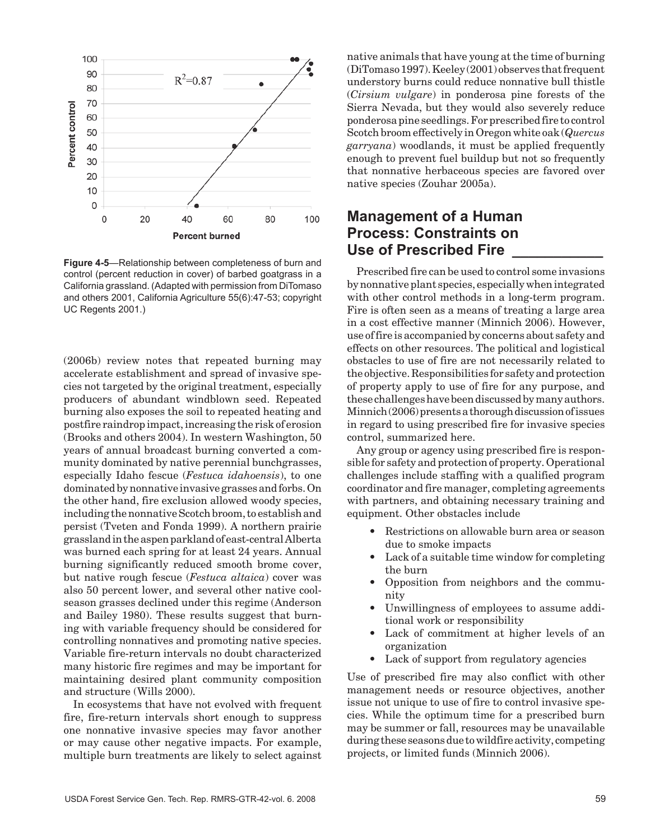

**Figure 4-5**—Relationship between completeness of burn and control (percent reduction in cover) of barbed goatgrass in a California grassland. (Adapted with permission from DiTomaso and others 2001, California Agriculture 55(6):47-53; copyright UC Regents 2001.)

(2006b) review notes that repeated burning may accelerate establishment and spread of invasive species not targeted by the original treatment, especially producers of abundant windblown seed. Repeated burning also exposes the soil to repeated heating and postfire raindrop impact, increasing the risk of erosion (Brooks and others 2004). In western Washington, 50 years of annual broadcast burning converted a community dominated by native perennial bunchgrasses, especially Idaho fescue (*Festuca idahoensis*), to one dominated by nonnative invasive grasses and forbs. On the other hand, fire exclusion allowed woody species, including the nonnative Scotch broom, to establish and persist (Tveten and Fonda 1999). A northern prairie grassland in the aspen parkland of east-central Alberta was burned each spring for at least 24 years. Annual burning significantly reduced smooth brome cover, but native rough fescue (*Festuca altaica*) cover was also 50 percent lower, and several other native coolseason grasses declined under this regime (Anderson and Bailey 1980). These results suggest that burning with variable frequency should be considered for controlling nonnatives and promoting native species. Variable fire-return intervals no doubt characterized many historic fire regimes and may be important for maintaining desired plant community composition and structure (Wills 2000).

In ecosystems that have not evolved with frequent fire, fire-return intervals short enough to suppress one nonnative invasive species may favor another or may cause other negative impacts. For example, multiple burn treatments are likely to select against native animals that have young at the time of burning (DiTomaso 1997). Keeley (2001) observes that frequent understory burns could reduce nonnative bull thistle (*Cirsium vulgare*) in ponderosa pine forests of the Sierra Nevada, but they would also severely reduce ponderosa pine seedlings. For prescribed fire to control Scotch broom effectively in Oregon white oak (*Quercus garryana*) woodlands, it must be applied frequently enough to prevent fuel buildup but not so frequently that nonnative herbaceous species are favored over native species (Zouhar 2005a).

# **Management of a Human Process: Constraints on Use of Prescribed Fire \_\_\_\_\_\_\_\_\_\_\_**

Prescribed fire can be used to control some invasions by nonnative plant species, especially when integrated with other control methods in a long-term program. Fire is often seen as a means of treating a large area in a cost effective manner (Minnich 2006). However, use of fire is accompanied by concerns about safety and effects on other resources. The political and logistical obstacles to use of fire are not necessarily related to the objective. Responsibilities for safety and protection of property apply to use of fire for any purpose, and these challenges have been discussed by many authors. Minnich (2006) presents a thorough discussion of issues in regard to using prescribed fire for invasive species control, summarized here.

Any group or agency using prescribed fire is responsible for safety and protection of property. Operational challenges include staffing with a qualified program coordinator and fire manager, completing agreements with partners, and obtaining necessary training and equipment. Other obstacles include

- Restrictions on allowable burn area or season due to smoke impacts
- Lack of a suitable time window for completing the burn
- Opposition from neighbors and the community
- Unwillingness of employees to assume additional work or responsibility
- Lack of commitment at higher levels of an organization
- Lack of support from regulatory agencies

Use of prescribed fire may also conflict with other management needs or resource objectives, another issue not unique to use of fire to control invasive species. While the optimum time for a prescribed burn may be summer or fall, resources may be unavailable during these seasons due to wildfire activity, competing projects, or limited funds (Minnich 2006).